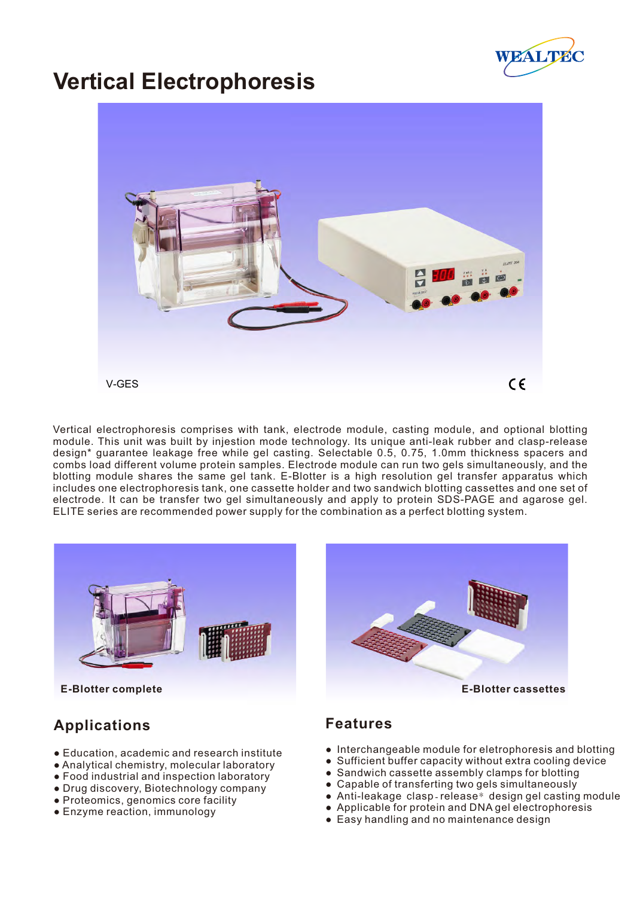

# **Vertical Electrophoresis**



Vertical electrophoresis comprises with tank, electrode module, casting module, and optional blotting module. This unit was built by injestion mode technology. Its unique anti-leak rubber and clasp-release design\* guarantee leakage free while gel casting. Selectable 0.5, 0.75, 1.0mm thickness spacers and combs load different volume protein samples. Electrode module can run two gels simultaneously, and the blotting module shares the same gel tank. E-Blotter is a high resolution gel transfer apparatus which includes one electrophoresis tank, one cassette holder and two sandwich blotting cassettes and one set of electrode. It can be transfer two gel simultaneously and apply to protein SDS-PAGE and agarose gel. ELITE series are recommended power supply for the combination as a perfect blotting system.



## **Applications**

- Education, academic and research institute
- Analytical chemistry, molecular laboratory
- Food industrial and inspection laboratory
- Drug discovery, Biotechnology company
- Proteomics, genomics core facility
- Enzyme reaction, immunology



#### **Features**

- Interchangeable module for eletrophoresis and blotting
- Sufficient buffer capacity without extra cooling device
- Sandwich cassette assembly clamps for blotting
- Capable of transferting two gels simultaneously
- Anti-leakage clasp-release\* design gel casting module
- Applicable for protein and DNA gel electrophoresis
- Easy handling and no maintenance design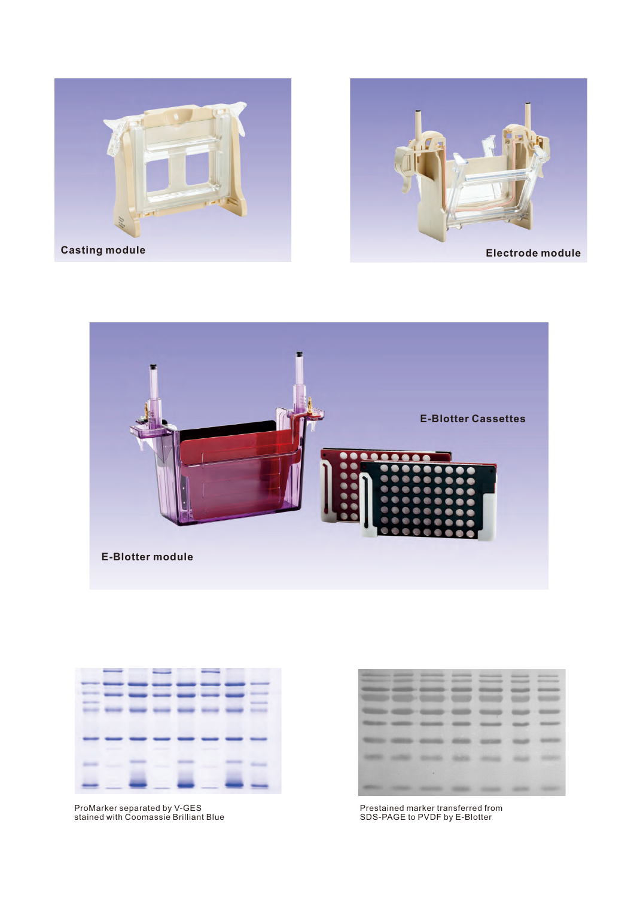





|                          | <b>Contractor</b>      |                                  |                                |
|--------------------------|------------------------|----------------------------------|--------------------------------|
|                          |                        |                                  |                                |
| <b>AND CONTROL</b>       | <b>Service Service</b> | $-$                              |                                |
|                          |                        |                                  |                                |
|                          |                        | <b>Constitution Constitution</b> |                                |
|                          |                        |                                  |                                |
| <b>Contract Contract</b> | - 11                   |                                  | <b><i><u>Statement</u></i></b> |

ProMarker separated by V-GES stained with Coomassie Brilliant Blue

| <b>Management Committee Committee</b> | <b>CONSUMING</b><br><b>RECOGNITION COMMENTS - CONTINUES.</b> | <b>British Harbor</b><br><b>CONTRACTOR</b> | <b>CONTRACTOR</b><br><b>SERVICE CONTROL</b><br><b><i>STERNHOLDER</i></b> | Gilmouring<br><b>STATISTICS</b> | <b>CONTRACTOR</b><br>Ministers and Care |
|---------------------------------------|--------------------------------------------------------------|--------------------------------------------|--------------------------------------------------------------------------|---------------------------------|-----------------------------------------|
|                                       |                                                              |                                            |                                                                          |                                 |                                         |
|                                       |                                                              | 69,693                                     |                                                                          |                                 |                                         |
|                                       |                                                              |                                            |                                                                          |                                 |                                         |
|                                       |                                                              |                                            |                                                                          |                                 |                                         |
|                                       |                                                              |                                            |                                                                          |                                 |                                         |

Prestained marker transferred from SDS-PAGE to PVDF by E-Blotter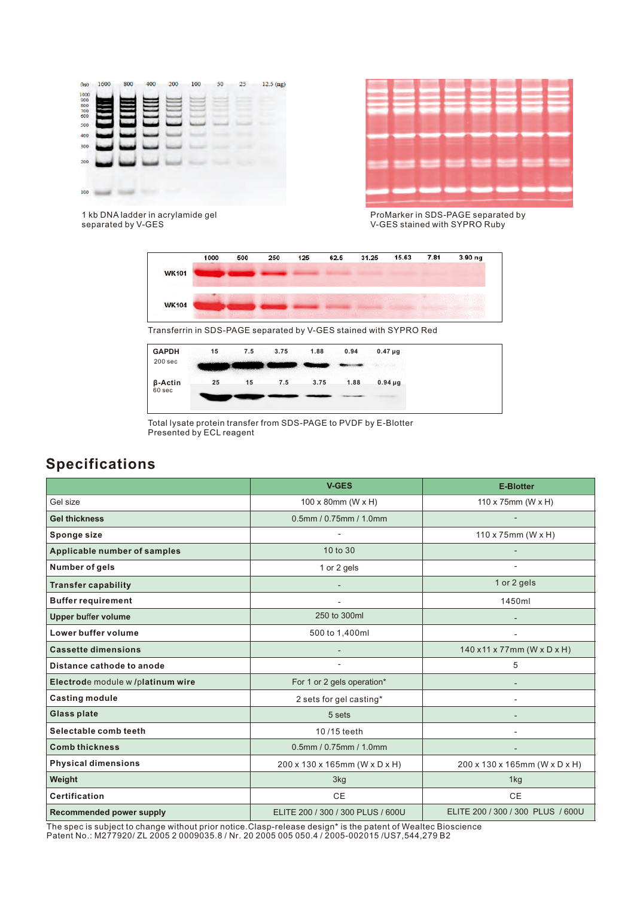



1 kb DNA ladder in acrylamide gel separated by V-GES

ProMarker in SDS-PAGE separated by V-GES stained with SYPRO Ruby



Transferrin in SDS-PAGE separated by V-GES stained with SYPRO Red



Total lysate protein transfer from SDS-PAGE to PVDF by E-Blotter Presented by ECL reagent

### **Specifications**

|                                     | <b>V-GES</b>                      | <b>E-Blotter</b>                  |  |
|-------------------------------------|-----------------------------------|-----------------------------------|--|
| Gel size                            | $100 \times 80$ mm (W $\times$ H) | 110 x 75mm (W x H)                |  |
| <b>Gel thickness</b>                | 0.5mm / 0.75mm / 1.0mm            |                                   |  |
| Sponge size                         |                                   | $110 \times 75$ mm (W x H)        |  |
| <b>Applicable number of samples</b> | 10 to 30                          |                                   |  |
| Number of gels                      | 1 or 2 gels                       |                                   |  |
| <b>Transfer capability</b>          |                                   | 1 or 2 gels                       |  |
| <b>Buffer requirement</b>           |                                   | 1450ml                            |  |
| <b>Upper buffer volume</b>          | 250 to 300ml                      |                                   |  |
| Lower buffer volume                 | 500 to 1,400ml                    |                                   |  |
| <b>Cassette dimensions</b>          |                                   | 140 x11 x 77mm (W x D x H)        |  |
| Distance cathode to anode           |                                   | 5                                 |  |
| Electrode module w /platinum wire   | For 1 or 2 gels operation*        |                                   |  |
| <b>Casting module</b>               | 2 sets for gel casting*           |                                   |  |
| <b>Glass plate</b>                  | 5 sets                            |                                   |  |
| Selectable comb teeth               | 10/15 teeth                       |                                   |  |
| <b>Comb thickness</b>               | 0.5mm / 0.75mm / 1.0mm            |                                   |  |
| <b>Physical dimensions</b>          | 200 x 130 x 165mm (W x D x H)     | 200 x 130 x 165mm (W x D x H)     |  |
| Weight                              | 3kg                               | 1kg                               |  |
| <b>Certification</b>                | <b>CE</b>                         | <b>CE</b>                         |  |
| <b>Recommended power supply</b>     | ELITE 200 / 300 / 300 PLUS / 600U | ELITE 200 / 300 / 300 PLUS / 600U |  |

The spec is subject to change without prior notice.Clasp-release design\* is the patent of Wealtec Bioscience Patent No.: M277920/ ZL 2005 2 0009035.8 / Nr. 20 2005 005 050.4 / 2005-002015 /US7,544,279 B2